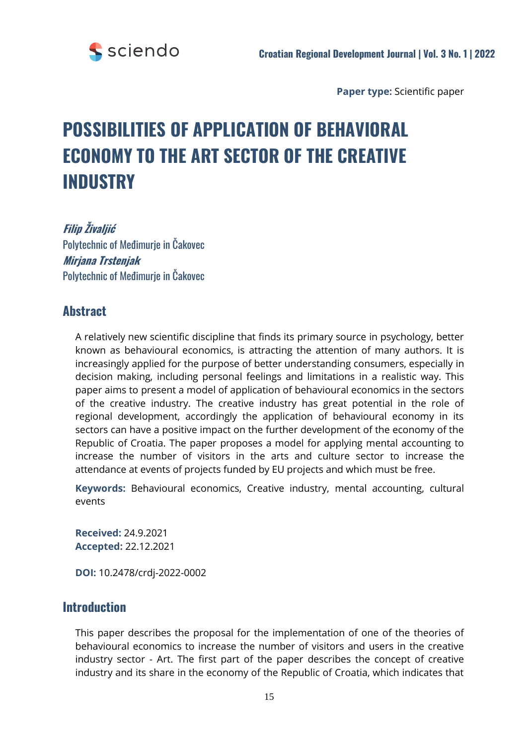

**Paper type:** Scientific paper

# **POSSIBILITIES OF APPLICATION OF BEHAVIORAL ECONOMY TO THE ART SECTOR OF THE CREATIVE INDUSTRY**

**Filip Živaljić** Polytechnic of Međimurje in Čakovec **Mirjana Trstenjak** Polytechnic of Međimurje in Čakovec

## **Abstract**

A relatively new scientific discipline that finds its primary source in psychology, better known as behavioural economics, is attracting the attention of many authors. It is increasingly applied for the purpose of better understanding consumers, especially in decision making, including personal feelings and limitations in a realistic way. This paper aims to present a model of application of behavioural economics in the sectors of the creative industry. The creative industry has great potential in the role of regional development, accordingly the application of behavioural economy in its sectors can have a positive impact on the further development of the economy of the Republic of Croatia. The paper proposes a model for applying mental accounting to increase the number of visitors in the arts and culture sector to increase the attendance at events of projects funded by EU projects and which must be free.

**Keywords:** Behavioural economics, Creative industry, mental accounting, cultural events

**Received:** 24.9.2021 **Accepted:** 22.12.2021

**DOI:** 10.2478/crdj-2022-0002

## **Introduction**

This paper describes the proposal for the implementation of one of the theories of behavioural economics to increase the number of visitors and users in the creative industry sector - Art. The first part of the paper describes the concept of creative industry and its share in the economy of the Republic of Croatia, which indicates that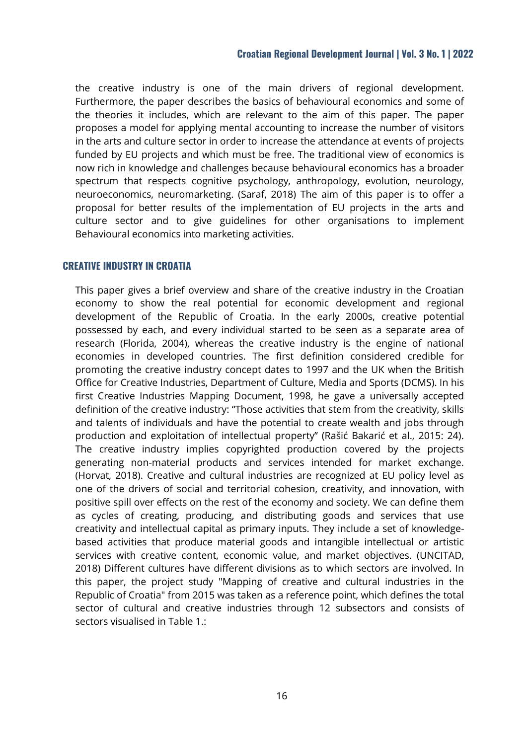the creative industry is one of the main drivers of regional development. Furthermore, the paper describes the basics of behavioural economics and some of the theories it includes, which are relevant to the aim of this paper. The paper proposes a model for applying mental accounting to increase the number of visitors in the arts and culture sector in order to increase the attendance at events of projects funded by EU projects and which must be free. The traditional view of economics is now rich in knowledge and challenges because behavioural economics has a broader spectrum that respects cognitive psychology, anthropology, evolution, neurology, neuroeconomics, neuromarketing. (Saraf, 2018) The aim of this paper is to offer a proposal for better results of the implementation of EU projects in the arts and culture sector and to give guidelines for other organisations to implement Behavioural economics into marketing activities.

#### **CREATIVE INDUSTRY IN CROATIA**

This paper gives a brief overview and share of the creative industry in the Croatian economy to show the real potential for economic development and regional development of the Republic of Croatia. In the early 2000s, creative potential possessed by each, and every individual started to be seen as a separate area of research (Florida, 2004), whereas the creative industry is the engine of national economies in developed countries. The first definition considered credible for promoting the creative industry concept dates to 1997 and the UK when the British Office for Creative Industries, Department of Culture, Media and Sports (DCMS). In his first Creative Industries Mapping Document, 1998, he gave a universally accepted definition of the creative industry: "Those activities that stem from the creativity, skills and talents of individuals and have the potential to create wealth and jobs through production and exploitation of intellectual property" (Rašić Bakarić et al., 2015: 24). The creative industry implies copyrighted production covered by the projects generating non-material products and services intended for market exchange. (Horvat, 2018). Creative and cultural industries are recognized at EU policy level as one of the drivers of social and territorial cohesion, creativity, and innovation, with positive spill over effects on the rest of the economy and society. We can define them as cycles of creating, producing, and distributing goods and services that use creativity and intellectual capital as primary inputs. They include a set of knowledgebased activities that produce material goods and intangible intellectual or artistic services with creative content, economic value, and market objectives. (UNCITAD, 2018) Different cultures have different divisions as to which sectors are involved. In this paper, the project study "Mapping of creative and cultural industries in the Republic of Croatia" from 2015 was taken as a reference point, which defines the total sector of cultural and creative industries through 12 subsectors and consists of sectors visualised in Table 1.: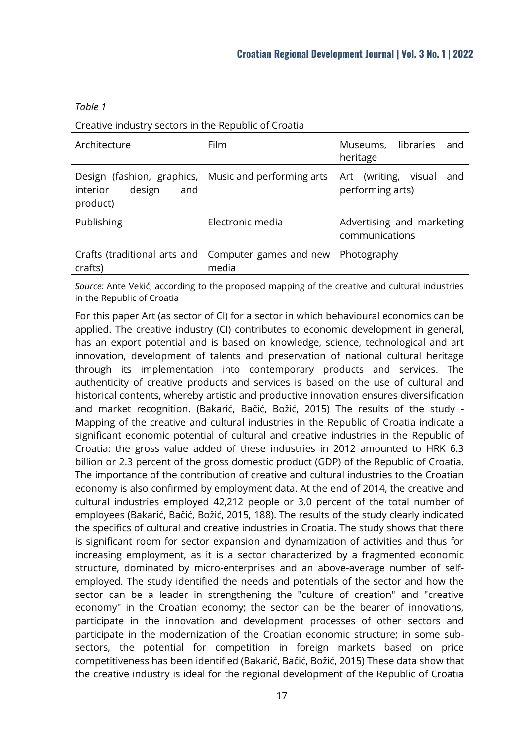#### *Table 1*

#### Creative industry sectors in the Republic of Croatia

| Architecture                                                                                    | Film                                                           | Museums, libraries<br>and<br>heritage              |
|-------------------------------------------------------------------------------------------------|----------------------------------------------------------------|----------------------------------------------------|
| Design (fashion, graphics,   Music and performing arts<br>interior<br>design<br>and<br>product) |                                                                | Art (writing,<br>visual<br>and<br>performing arts) |
| Publishing                                                                                      | Electronic media                                               | Advertising and marketing<br>communications        |
| crafts)                                                                                         | Crafts (traditional arts and   Computer games and new<br>media | Photography                                        |

*Source:* Ante Vekić, according to the proposed mapping of the creative and cultural industries in the Republic of Croatia

For this paper Art (as sector of CI) for a sector in which behavioural economics can be applied. The creative industry (CI) contributes to economic development in general, has an export potential and is based on knowledge, science, technological and art innovation, development of talents and preservation of national cultural heritage through its implementation into contemporary products and services. The authenticity of creative products and services is based on the use of cultural and historical contents, whereby artistic and productive innovation ensures diversification and market recognition. (Bakarić, Bačić, Božić, 2015) The results of the study - Mapping of the creative and cultural industries in the Republic of Croatia indicate a significant economic potential of cultural and creative industries in the Republic of Croatia: the gross value added of these industries in 2012 amounted to HRK 6.3 billion or 2.3 percent of the gross domestic product (GDP) of the Republic of Croatia. The importance of the contribution of creative and cultural industries to the Croatian economy is also confirmed by employment data. At the end of 2014, the creative and cultural industries employed 42,212 people or 3.0 percent of the total number of employees (Bakarić, Bačić, Božić, 2015, 188). The results of the study clearly indicated the specifics of cultural and creative industries in Croatia. The study shows that there is significant room for sector expansion and dynamization of activities and thus for increasing employment, as it is a sector characterized by a fragmented economic structure, dominated by micro-enterprises and an above-average number of selfemployed. The study identified the needs and potentials of the sector and how the sector can be a leader in strengthening the "culture of creation" and "creative economy" in the Croatian economy; the sector can be the bearer of innovations, participate in the innovation and development processes of other sectors and participate in the modernization of the Croatian economic structure; in some subsectors, the potential for competition in foreign markets based on price competitiveness has been identified (Bakarić, Bačić, Božić, 2015) These data show that the creative industry is ideal for the regional development of the Republic of Croatia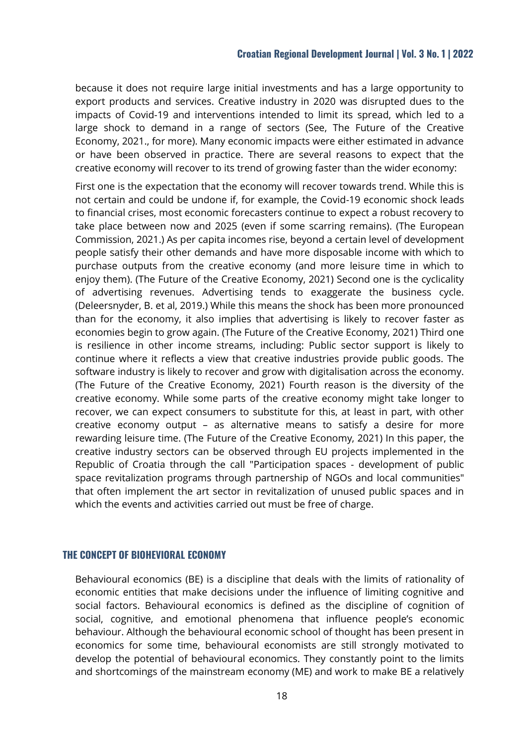because it does not require large initial investments and has a large opportunity to export products and services. Creative industry in 2020 was disrupted dues to the impacts of Covid-19 and interventions intended to limit its spread, which led to a large shock to demand in a range of sectors (See, The Future of the Creative Economy, 2021., for more). Many economic impacts were either estimated in advance or have been observed in practice. There are several reasons to expect that the creative economy will recover to its trend of growing faster than the wider economy:

First one is the expectation that the economy will recover towards trend. While this is not certain and could be undone if, for example, the Covid-19 economic shock leads to financial crises, most economic forecasters continue to expect a robust recovery to take place between now and 2025 (even if some scarring remains). (The European Commission, 2021.) As per capita incomes rise, beyond a certain level of development people satisfy their other demands and have more disposable income with which to purchase outputs from the creative economy (and more leisure time in which to enjoy them). (The Future of the Creative Economy, 2021) Second one is the cyclicality of advertising revenues. Advertising tends to exaggerate the business cycle. (Deleersnyder, B. et al, 2019.) While this means the shock has been more pronounced than for the economy, it also implies that advertising is likely to recover faster as economies begin to grow again. (The Future of the Creative Economy, 2021) Third one is resilience in other income streams, including: Public sector support is likely to continue where it reflects a view that creative industries provide public goods. The software industry is likely to recover and grow with digitalisation across the economy. (The Future of the Creative Economy, 2021) Fourth reason is the diversity of the creative economy. While some parts of the creative economy might take longer to recover, we can expect consumers to substitute for this, at least in part, with other creative economy output – as alternative means to satisfy a desire for more rewarding leisure time. (The Future of the Creative Economy, 2021) In this paper, the creative industry sectors can be observed through EU projects implemented in the Republic of Croatia through the call "Participation spaces - development of public space revitalization programs through partnership of NGOs and local communities" that often implement the art sector in revitalization of unused public spaces and in which the events and activities carried out must be free of charge.

#### **THE CONCEPT OF BIOHEVIORAL ECONOMY**

Behavioural economics (BE) is a discipline that deals with the limits of rationality of economic entities that make decisions under the influence of limiting cognitive and social factors. Behavioural economics is defined as the discipline of cognition of social, cognitive, and emotional phenomena that influence people's economic behaviour. Although the behavioural economic school of thought has been present in economics for some time, behavioural economists are still strongly motivated to develop the potential of behavioural economics. They constantly point to the limits and shortcomings of the mainstream economy (ME) and work to make BE a relatively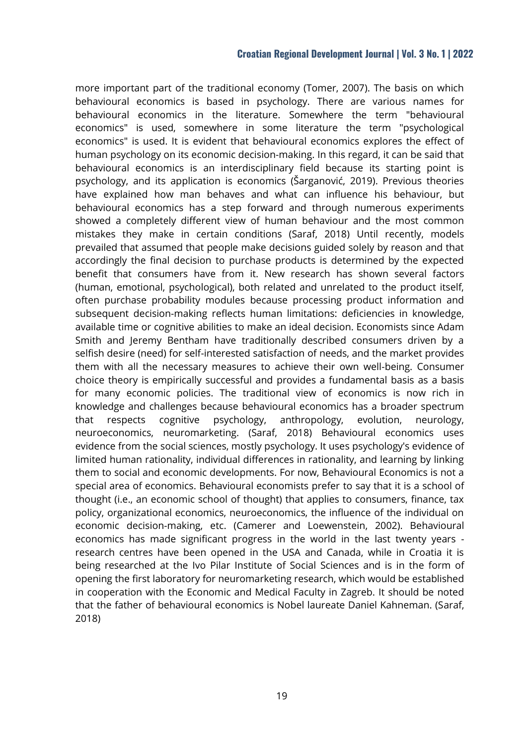more important part of the traditional economy (Tomer, 2007). The basis on which behavioural economics is based in psychology. There are various names for behavioural economics in the literature. Somewhere the term "behavioural economics" is used, somewhere in some literature the term "psychological economics" is used. It is evident that behavioural economics explores the effect of human psychology on its economic decision-making. In this regard, it can be said that behavioural economics is an interdisciplinary field because its starting point is psychology, and its application is economics (Šarganović, 2019). Previous theories have explained how man behaves and what can influence his behaviour, but behavioural economics has a step forward and through numerous experiments showed a completely different view of human behaviour and the most common mistakes they make in certain conditions (Saraf, 2018) Until recently, models prevailed that assumed that people make decisions guided solely by reason and that accordingly the final decision to purchase products is determined by the expected benefit that consumers have from it. New research has shown several factors (human, emotional, psychological), both related and unrelated to the product itself, often purchase probability modules because processing product information and subsequent decision-making reflects human limitations: deficiencies in knowledge, available time or cognitive abilities to make an ideal decision. Economists since Adam Smith and Jeremy Bentham have traditionally described consumers driven by a selfish desire (need) for self-interested satisfaction of needs, and the market provides them with all the necessary measures to achieve their own well-being. Consumer choice theory is empirically successful and provides a fundamental basis as a basis for many economic policies. The traditional view of economics is now rich in knowledge and challenges because behavioural economics has a broader spectrum that respects cognitive psychology, anthropology, evolution, neurology, neuroeconomics, neuromarketing. (Saraf, 2018) Behavioural economics uses evidence from the social sciences, mostly psychology. It uses psychology's evidence of limited human rationality, individual differences in rationality, and learning by linking them to social and economic developments. For now, Behavioural Economics is not a special area of economics. Behavioural economists prefer to say that it is a school of thought (i.e., an economic school of thought) that applies to consumers, finance, tax policy, organizational economics, neuroeconomics, the influence of the individual on economic decision-making, etc. (Camerer and Loewenstein, 2002). Behavioural economics has made significant progress in the world in the last twenty years research centres have been opened in the USA and Canada, while in Croatia it is being researched at the Ivo Pilar Institute of Social Sciences and is in the form of opening the first laboratory for neuromarketing research, which would be established in cooperation with the Economic and Medical Faculty in Zagreb. It should be noted that the father of behavioural economics is Nobel laureate Daniel Kahneman. (Saraf, 2018)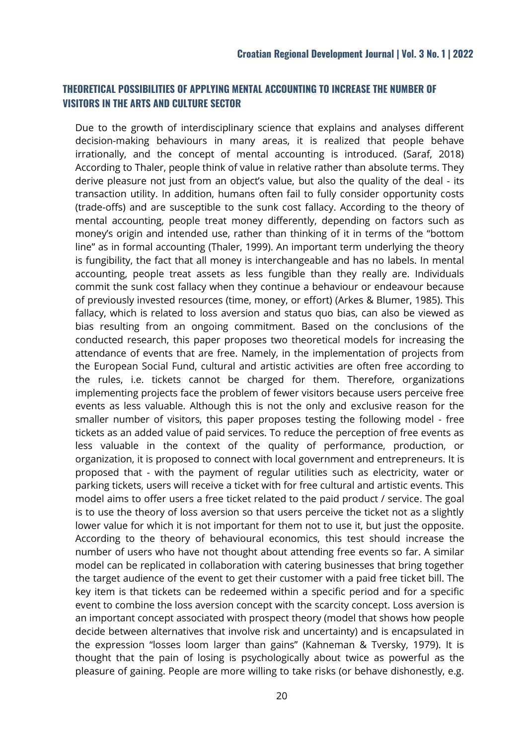### **THEORETICAL POSSIBILITIES OF APPLYING MENTAL ACCOUNTING TO INCREASE THE NUMBER OF VISITORS IN THE ARTS AND CULTURE SECTOR**

Due to the growth of interdisciplinary science that explains and analyses different decision-making behaviours in many areas, it is realized that people behave irrationally, and the concept of mental accounting is introduced. (Saraf, 2018) According to Thaler, people think of value in relative rather than absolute terms. They derive pleasure not just from an object's value, but also the quality of the deal - its transaction utility. In addition, humans often fail to fully consider opportunity costs (trade-offs) and are susceptible to the sunk cost fallacy. According to the theory of mental accounting, people treat money differently, depending on factors such as money's origin and intended use, rather than thinking of it in terms of the "bottom line" as in formal accounting (Thaler, 1999). An important term underlying the theory is fungibility, the fact that all money is interchangeable and has no labels. In mental accounting, people treat assets as less fungible than they really are. Individuals commit the sunk cost fallacy when they continue a behaviour or endeavour because of previously invested resources (time, money, or effort) (Arkes & Blumer, 1985). This fallacy, which is related to loss aversion and status quo bias, can also be viewed as bias resulting from an ongoing commitment. Based on the conclusions of the conducted research, this paper proposes two theoretical models for increasing the attendance of events that are free. Namely, in the implementation of projects from the European Social Fund, cultural and artistic activities are often free according to the rules, i.e. tickets cannot be charged for them. Therefore, organizations implementing projects face the problem of fewer visitors because users perceive free events as less valuable. Although this is not the only and exclusive reason for the smaller number of visitors, this paper proposes testing the following model - free tickets as an added value of paid services. To reduce the perception of free events as less valuable in the context of the quality of performance, production, or organization, it is proposed to connect with local government and entrepreneurs. It is proposed that - with the payment of regular utilities such as electricity, water or parking tickets, users will receive a ticket with for free cultural and artistic events. This model aims to offer users a free ticket related to the paid product / service. The goal is to use the theory of loss aversion so that users perceive the ticket not as a slightly lower value for which it is not important for them not to use it, but just the opposite. According to the theory of behavioural economics, this test should increase the number of users who have not thought about attending free events so far. A similar model can be replicated in collaboration with catering businesses that bring together the target audience of the event to get their customer with a paid free ticket bill. The key item is that tickets can be redeemed within a specific period and for a specific event to combine the loss aversion concept with the scarcity concept. Loss aversion is an important concept associated with prospect theory (model that shows how people decide between alternatives that involve risk and uncertainty) and is encapsulated in the expression "losses loom larger than gains" (Kahneman & Tversky, 1979). It is thought that the pain of losing is psychologically about twice as powerful as the pleasure of gaining. People are more willing to take risks (or behave dishonestly, e.g.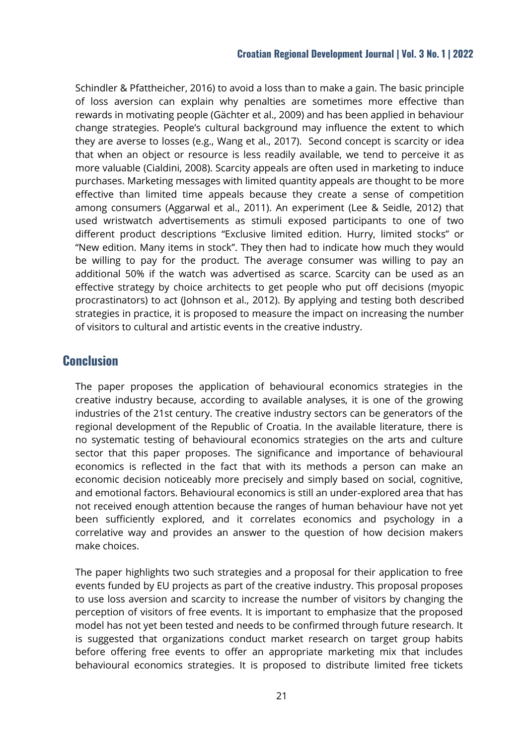Schindler & Pfattheicher, 2016) to avoid a loss than to make a gain. The basic principle of loss aversion can explain why penalties are sometimes more effective than rewards in motivating people (Gächter et al., 2009) and has been applied in behaviour change strategies. People's cultural background may influence the extent to which they are averse to losses (e.g., Wang et al., 2017). Second concept is scarcity or idea that when an object or resource is less readily available, we tend to perceive it as more valuable (Cialdini, 2008). Scarcity appeals are often used in marketing to induce purchases. Marketing messages with limited quantity appeals are thought to be more effective than limited time appeals because they create a sense of competition among consumers (Aggarwal et al., 2011). An experiment (Lee & Seidle, 2012) that used wristwatch advertisements as stimuli exposed participants to one of two different product descriptions "Exclusive limited edition. Hurry, limited stocks" or "New edition. Many items in stock". They then had to indicate how much they would be willing to pay for the product. The average consumer was willing to pay an additional 50% if the watch was advertised as scarce. Scarcity can be used as an effective strategy by choice architects to get people who put off decisions (myopic procrastinators) to act (Johnson et al., 2012). By applying and testing both described strategies in practice, it is proposed to measure the impact on increasing the number of visitors to cultural and artistic events in the creative industry.

## **Conclusion**

The paper proposes the application of behavioural economics strategies in the creative industry because, according to available analyses, it is one of the growing industries of the 21st century. The creative industry sectors can be generators of the regional development of the Republic of Croatia. In the available literature, there is no systematic testing of behavioural economics strategies on the arts and culture sector that this paper proposes. The significance and importance of behavioural economics is reflected in the fact that with its methods a person can make an economic decision noticeably more precisely and simply based on social, cognitive, and emotional factors. Behavioural economics is still an under-explored area that has not received enough attention because the ranges of human behaviour have not yet been sufficiently explored, and it correlates economics and psychology in a correlative way and provides an answer to the question of how decision makers make choices.

The paper highlights two such strategies and a proposal for their application to free events funded by EU projects as part of the creative industry. This proposal proposes to use loss aversion and scarcity to increase the number of visitors by changing the perception of visitors of free events. It is important to emphasize that the proposed model has not yet been tested and needs to be confirmed through future research. It is suggested that organizations conduct market research on target group habits before offering free events to offer an appropriate marketing mix that includes behavioural economics strategies. It is proposed to distribute limited free tickets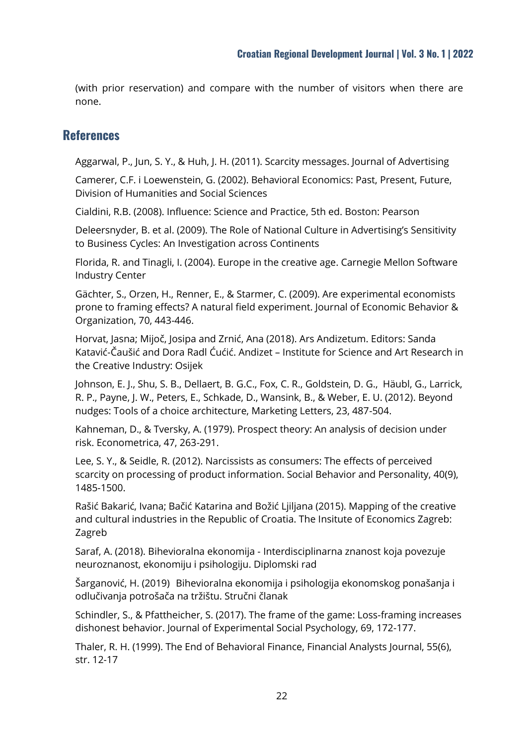(with prior reservation) and compare with the number of visitors when there are none.

## **References**

Aggarwal, P., Jun, S. Y., & Huh, J. H. (2011). Scarcity messages. Journal of Advertising

Camerer, C.F. i Loewenstein, G. (2002). Behavioral Economics: Past, Present, Future, Division of Humanities and Social Sciences

Cialdini, R.B. (2008). Influence: Science and Practice, 5th ed. Boston: Pearson

Deleersnyder, B. et al. (2009). The Role of National Culture in Advertising's Sensitivity to Business Cycles: An Investigation across Continents

Florida, R. and Tinagli, I. (2004). Europe in the creative age. Carnegie Mellon Software Industry Center

Gächter, S., Orzen, H., Renner, E., & Starmer, C. (2009). Are experimental economists prone to framing effects? A natural field experiment. Journal of Economic Behavior & Organization, 70, 443-446.

Horvat, Jasna; Mijoč, Josipa and Zrnić, Ana (2018). Ars Andizetum. Editors: Sanda Katavić-Čaušić and Dora Radl Ćućić. Andizet – Institute for Science and Art Research in the Creative Industry: Osijek

Johnson, E. J., Shu, S. B., Dellaert, B. G.C., Fox, C. R., Goldstein, D. G., Häubl, G., Larrick, R. P., Payne, J. W., Peters, E., Schkade, D., Wansink, B., & Weber, E. U. (2012). Beyond nudges: Tools of a choice architecture, Marketing Letters, 23, 487-504.

Kahneman, D., & Tversky, A. (1979). Prospect theory: An analysis of decision under risk. Econometrica, 47, 263-291.

Lee, S. Y., & Seidle, R. (2012). Narcissists as consumers: The effects of perceived scarcity on processing of product information. Social Behavior and Personality, 40(9), 1485-1500.

Rašić Bakarić, Ivana; Bačić Katarina and Božić Ljiljana (2015). Mapping of the creative and cultural industries in the Republic of Croatia. The Insitute of Economics Zagreb: Zagreb

Saraf, A. (2018). Bihevioralna ekonomija - Interdisciplinarna znanost koja povezuje neuroznanost, ekonomiju i psihologiju. Diplomski rad

Šarganović, H. (2019) Bihevioralna ekonomija i psihologija ekonomskog ponašanja i odlučivanja potrošača na tržištu. Stručni članak

Schindler, S., & Pfattheicher, S. (2017). The frame of the game: Loss-framing increases dishonest behavior. Journal of Experimental Social Psychology, 69, 172-177.

Thaler, R. H. (1999). The End of Behavioral Finance, Financial Analysts Journal, 55(6), str. 12-17